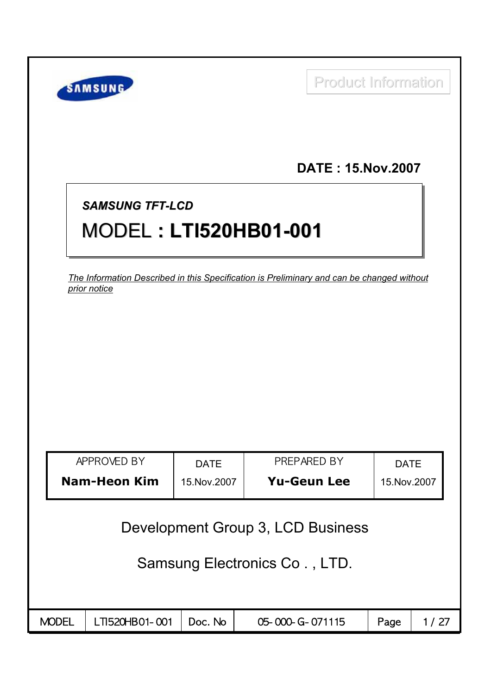| SAMSUNG                                                                                   |               |                                   | <b>Product Information</b> |               |  |
|-------------------------------------------------------------------------------------------|---------------|-----------------------------------|----------------------------|---------------|--|
|                                                                                           |               |                                   | <b>DATE: 15.Nov.2007</b>   |               |  |
| <b>SAMSUNG TFT-LCD</b>                                                                    |               |                                   |                            |               |  |
| <b>MODEL: LTI520HB01-001</b>                                                              |               |                                   |                            |               |  |
| The Information Described in this Specification is Preliminary and can be changed without |               |                                   |                            |               |  |
| prior notice                                                                              |               |                                   |                            |               |  |
|                                                                                           |               |                                   |                            |               |  |
|                                                                                           |               |                                   |                            |               |  |
|                                                                                           |               |                                   |                            |               |  |
|                                                                                           |               |                                   |                            |               |  |
|                                                                                           |               |                                   |                            |               |  |
|                                                                                           |               |                                   |                            |               |  |
|                                                                                           |               |                                   |                            |               |  |
| APPROVED BY                                                                               | <b>DATE</b>   |                                   | PREPARED BY                | <b>DATE</b>   |  |
| <b>Nam-Heon Kim</b>                                                                       | 15. Nov. 2007 |                                   | <b>Yu-Geun Lee</b>         | 15. Nov. 2007 |  |
|                                                                                           |               |                                   |                            |               |  |
|                                                                                           |               | Development Group 3, LCD Business |                            |               |  |
|                                                                                           |               | Samsung Electronics Co., LTD.     |                            |               |  |
|                                                                                           |               |                                   |                            |               |  |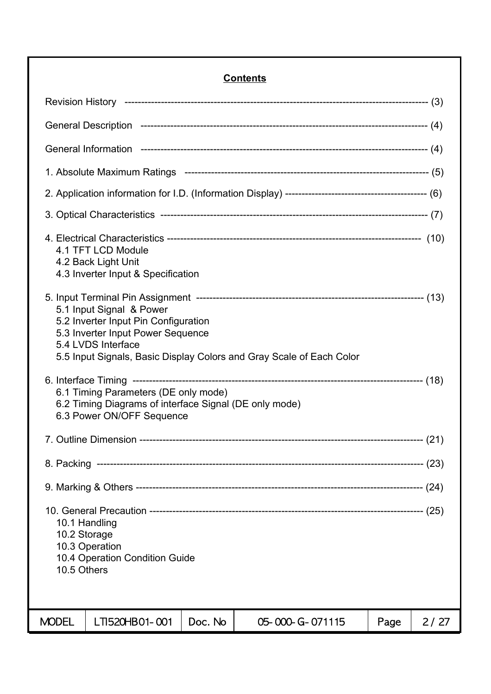### **Contents**

| 4.1 TFT LCD Module<br>4.2 Back Light Unit<br>4.3 Inverter Input & Specification                                                                                                                     |         |                 |      |      |  |  |
|-----------------------------------------------------------------------------------------------------------------------------------------------------------------------------------------------------|---------|-----------------|------|------|--|--|
| 5.1 Input Signal & Power<br>5.2 Inverter Input Pin Configuration<br>5.3 Inverter Input Power Sequence<br>5.4 LVDS Interface<br>5.5 Input Signals, Basic Display Colors and Gray Scale of Each Color |         |                 |      |      |  |  |
| 6.1 Timing Parameters (DE only mode)<br>6.2 Timing Diagrams of interface Signal (DE only mode)<br>6.3 Power ON/OFF Sequence                                                                         |         |                 |      |      |  |  |
|                                                                                                                                                                                                     |         |                 |      |      |  |  |
|                                                                                                                                                                                                     |         |                 |      |      |  |  |
|                                                                                                                                                                                                     |         |                 |      |      |  |  |
| 10.1 Handling<br>10.2 Storage<br>10.3 Operation<br>10.4 Operation Condition Guide<br>10.5 Others                                                                                                    |         |                 |      |      |  |  |
| <b>MODEL</b><br>LTI520HB01-001                                                                                                                                                                      | Doc. No | 05-000-G-071115 | Page | 2/27 |  |  |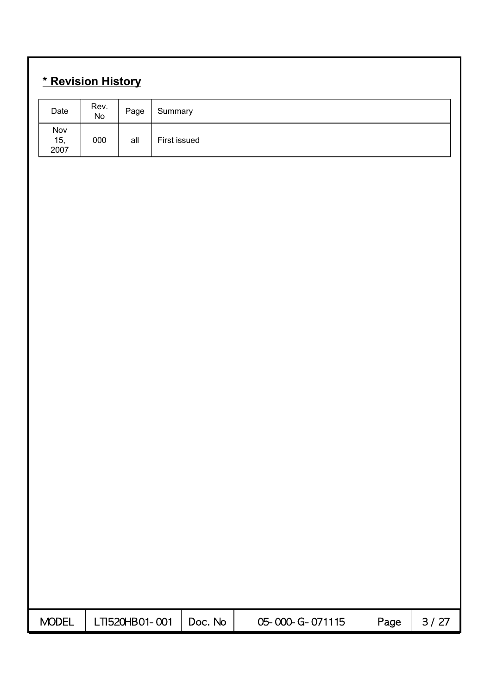## **\* Revision History**

| <u><u> 110 MBIOIL HIULUI J</u></u> |                                      |                |              |         |                 |      |        |
|------------------------------------|--------------------------------------|----------------|--------------|---------|-----------------|------|--------|
| Date                               | Rev.<br>$\operatorname{\mathsf{No}}$ | Page           | Summary      |         |                 |      |        |
| Nov<br>15, 2007                    | 000                                  | all            | First issued |         |                 |      |        |
|                                    |                                      |                |              |         |                 |      |        |
|                                    |                                      |                |              |         |                 |      |        |
|                                    |                                      |                |              |         |                 |      |        |
|                                    |                                      |                |              |         |                 |      |        |
|                                    |                                      |                |              |         |                 |      |        |
|                                    |                                      |                |              |         |                 |      |        |
|                                    |                                      |                |              |         |                 |      |        |
|                                    |                                      |                |              |         |                 |      |        |
|                                    |                                      |                |              |         |                 |      |        |
|                                    |                                      |                |              |         |                 |      |        |
|                                    |                                      |                |              |         |                 |      |        |
|                                    |                                      |                |              |         |                 |      |        |
|                                    |                                      |                |              |         |                 |      |        |
|                                    |                                      |                |              |         |                 |      |        |
|                                    |                                      |                |              |         |                 |      |        |
|                                    |                                      |                |              |         |                 |      |        |
|                                    |                                      |                |              |         |                 |      |        |
| <b>MODEL</b>                       |                                      | LTI520HB01-001 |              | Doc. No | 05-000-G-071115 | Page | $3/27$ |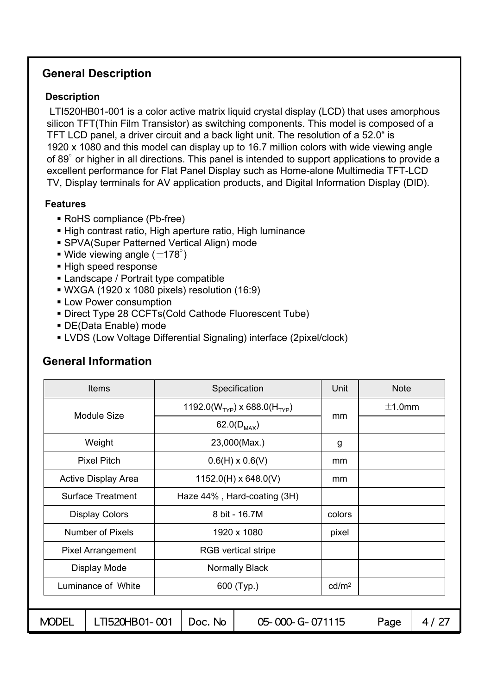#### **General Description**

#### **Description**

LTI520HB01-001 is a color active matrix liquid crystal display (LCD) that uses amorphous silicon TFT(Thin Film Transistor) as switching components. This model is composed of a TFT LCD panel, a driver circuit and a back light unit. The resolution of a 52.0" is 1920 x 1080 and this model can display up to 16.7 million colors with wide viewing angle of 89° or higher in all directions. This panel is intended to support applications to provide a excellent performance for Flat Panel Display such as Home-alone Multimedia TFT-LCD TV, Display terminals for AV application products, and Digital Information Display (DID).

#### **Features**

- RoHS compliance (Pb-free)
- High contrast ratio, High aperture ratio, High luminance
- SPVA(Super Patterned Vertical Align) mode
- $\blacksquare$  Wide viewing angle ( $\pm$ 178°)
- High speed response
- Landscape / Portrait type compatible
- WXGA (1920 x 1080 pixels) resolution (16:9)
- **Low Power consumption**
- Direct Type 28 CCFTs(Cold Cathode Fluorescent Tube)
- DE(Data Enable) mode
- LVDS (Low Voltage Differential Signaling) interface (2pixel/clock)

|                            | Items                            |                             |                        | Specification                            | Unit   | <b>Note</b> |        |
|----------------------------|----------------------------------|-----------------------------|------------------------|------------------------------------------|--------|-------------|--------|
|                            | Module Size                      |                             |                        | 1192.0( $W_{TYP}$ ) x 688.0( $H_{TYP}$ ) |        | ±1.0mm      |        |
|                            |                                  |                             |                        | 62.0( $D_{MAX}$ )                        | mm     |             |        |
|                            | Weight                           |                             | 23,000(Max.)           |                                          |        |             |        |
|                            | <b>Pixel Pitch</b>               |                             | $0.6(H) \times 0.6(V)$ |                                          |        |             |        |
| <b>Active Display Area</b> |                                  | $1152.0(H) \times 648.0(V)$ |                        |                                          | mm     |             |        |
| <b>Surface Treatment</b>   |                                  | Haze 44%, Hard-coating (3H) |                        |                                          |        |             |        |
|                            | <b>Display Colors</b>            |                             |                        | 8 bit - 16.7M                            | colors |             |        |
|                            | <b>Number of Pixels</b>          |                             |                        | 1920 x 1080                              | pixel  |             |        |
|                            | <b>Pixel Arrangement</b>         |                             |                        | <b>RGB</b> vertical stripe               |        |             |        |
|                            | Display Mode                     |                             |                        | <b>Normally Black</b>                    |        |             |        |
|                            | Luminance of White<br>600 (Typ.) |                             | cd/m <sup>2</sup>      |                                          |        |             |        |
|                            |                                  |                             |                        |                                          |        |             |        |
| <b>MODEL</b>               | LTI520HB01-001                   |                             | Doc. No                | 05-000-G-071115                          |        | Page        | 4 / 27 |

## **General Information**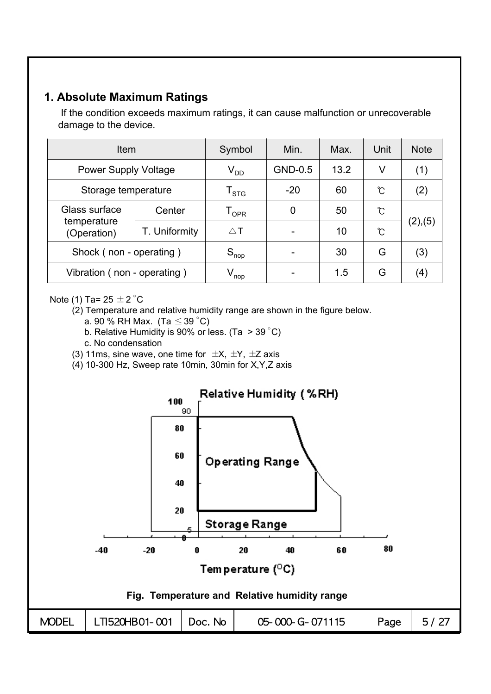## **1. Absolute Maximum Ratings**

If the condition exceeds maximum ratings, it can cause malfunction or unrecoverable damage to the device.

| Item                        |                            | Symbol             | Min.        | Max. | Unit | <b>Note</b> |
|-----------------------------|----------------------------|--------------------|-------------|------|------|-------------|
| <b>Power Supply Voltage</b> | $\rm V_{DD}$               | GND-0.5            | 13.2        | V    | (1)  |             |
| Storage temperature         | ${\mathsf T}_{\text{STG}}$ | $-20$              | 60          | °C   | (2)  |             |
| Glass surface               | Center                     | ${\tt T_{OPR}}$    | $\mathbf 0$ | 50   | Ĉ    |             |
| temperature<br>(Operation)  | T. Uniformity              | $\triangle$ T      |             | 10   | Ĉ    | (2),(5)     |
| Shock (non - operating)     |                            | $S_{\text{nop}}$   |             | 30   | G    | (3)         |
| Vibration (non - operating) |                            | $V_{\mathsf{nop}}$ |             | 1.5  | G    | (4)         |

Note (1) Ta=  $25 \pm 2$  °C

(2) Temperature and relative humidity range are shown in the figure below.

- a. 90 % RH Max. (Ta  $\leq$  39 °C)
- b. Relative Humidity is 90% or less. (Ta > 39 °C)
- c. No condensation
- (3) 11ms, sine wave, one time for  $\pm X$ ,  $\pm Y$ ,  $\pm Z$  axis
- (4) 10-300 Hz, Sweep rate 10min, 30min for X,Y,Z axis

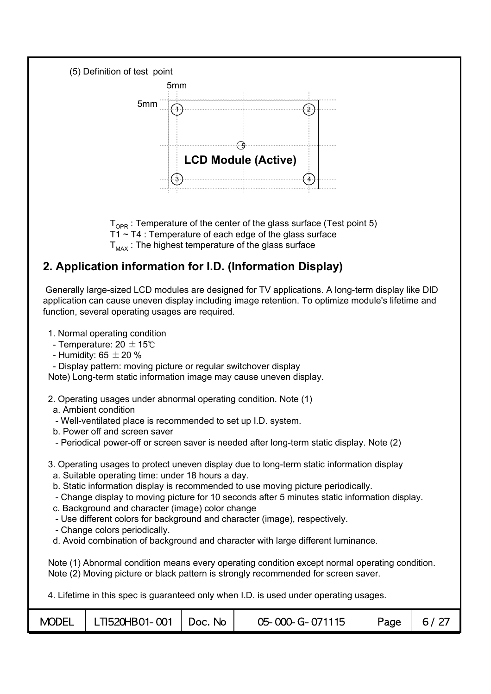

 ${\sf T}_{\mathsf{OPR}}$  : Temperature of the center of the glass surface (Test point 5) T1 ~ T4 : Temperature of each edge of the glass surface  $T_{\text{max}}$ : The highest temperature of the glass surface

## **2. Application information for I.D. (Information Display)**

Generally large-sized LCD modules are designed for TV applications. A long-term display like DID application can cause uneven display including image retention. To optimize module's lifetime and function, several operating usages are required.

- 1. Normal operating condition
- Temperature: 20  $\pm$  15℃
- Humidity:  $65 \pm 20 \%$
- Display pattern: moving picture or regular switchover display

Note) Long-term static information image may cause uneven display.

- 2. Operating usages under abnormal operating condition. Note (1)
- a. Ambient condition
- Well-ventilated place is recommended to set up I.D. system.
- b. Power off and screen saver
- Periodical power-off or screen saver is needed after long-term static display. Note (2)
- 3. Operating usages to protect uneven display due to long-term static information display
	- a. Suitable operating time: under 18 hours a day.
	- b. Static information display is recommended to use moving picture periodically.
	- Change display to moving picture for 10 seconds after 5 minutes static information display.
	- c. Background and character (image) color change
	- Use different colors for background and character (image), respectively.
	- Change colors periodically.
	- d. Avoid combination of background and character with large different luminance.

Note (1) Abnormal condition means every operating condition except normal operating condition. Note (2) Moving picture or black pattern is strongly recommended for screen saver.

4. Lifetime in this spec is guaranteed only when I.D. is used under operating usages.

|  | $MODEL$   LTI520HB01-001   Doc. No |  | 05-000-G-071115 | Page | 6/27 |
|--|------------------------------------|--|-----------------|------|------|
|--|------------------------------------|--|-----------------|------|------|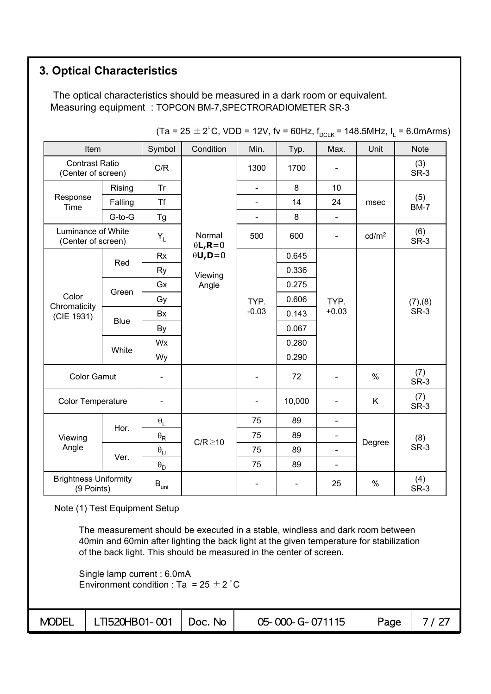## **3. Optical Characteristics**

The optical characteristics should be measured in a dark room or equivalent. Measuring equipment : TOPCON BM-7,SPECTRORADIOMETER SR-3

|                                             |             |                                    |                            |                          |                          | ◡◡–い                         |                   |                    |
|---------------------------------------------|-------------|------------------------------------|----------------------------|--------------------------|--------------------------|------------------------------|-------------------|--------------------|
| Item                                        |             | Symbol                             | Condition                  | Min.                     | Typ.                     | Max.                         | Unit              | <b>Note</b>        |
| <b>Contrast Ratio</b><br>(Center of screen) |             | C/R                                |                            | 1300                     | 1700                     |                              |                   | (3)<br>SR-3        |
|                                             | Rising      | Tr                                 |                            | $\blacksquare$           | 8                        | 10                           |                   |                    |
| Response<br>Time                            | Falling     | <b>Tf</b>                          |                            | $\blacksquare$           | 14                       | 24                           | msec              | (5)<br><b>BM-7</b> |
|                                             | G-to-G      | Tg                                 |                            | $\blacksquare$           | 8                        | $\blacksquare$               |                   |                    |
| Luminance of White<br>(Center of screen)    |             | $Y_L$                              | Normal<br>$\theta L$ , R=0 | 500                      | 600                      | $\qquad \qquad \blacksquare$ | cd/m <sup>2</sup> | (6)<br>SR-3        |
|                                             |             | Rx                                 | $\theta$ U,D=0             |                          | 0.645                    |                              |                   |                    |
|                                             | Red         | Ry                                 | Viewing                    |                          | 0.336                    | TYP.<br>$+0.03$              |                   |                    |
|                                             |             | Gx                                 | Angle                      |                          | 0.275                    |                              |                   |                    |
| Color                                       | Green       | Gy                                 |                            | TYP.                     | 0.606                    |                              |                   | (7), (8)           |
| Chromaticity<br>(CIE 1931)                  | <b>Blue</b> | <b>Bx</b>                          |                            | $-0.03$                  | 0.143                    |                              |                   | SR-3               |
|                                             |             | By                                 |                            |                          | 0.067                    |                              |                   |                    |
|                                             | White       | Wx                                 |                            |                          | 0.280                    |                              |                   |                    |
|                                             |             | Wy                                 |                            |                          | 0.290                    |                              |                   |                    |
| <b>Color Gamut</b>                          |             |                                    |                            | $\overline{\phantom{0}}$ | 72                       |                              | $\%$              | (7)<br>SR-3        |
| <b>Color Temperature</b>                    |             |                                    |                            |                          | 10,000                   |                              | K                 | (7)<br>SR-3        |
|                                             |             | $\boldsymbol{\theta}_{\mathsf{L}}$ |                            | 75                       | 89                       | $\blacksquare$               |                   |                    |
| Viewing                                     | Hor.        | $\theta_{\sf R}$                   |                            | 75                       | 89                       |                              |                   | (8)                |
| Angle                                       |             | $\boldsymbol{\theta}_\mathsf{U}$   | $C/R \ge 10$               | 75                       | 89                       | $\blacksquare$               | Degree            | SR-3               |
|                                             | Ver.        | $\boldsymbol{\theta}_\mathsf{D}$   |                            | 75                       | 89                       | $\frac{1}{2}$                |                   |                    |
| <b>Brightness Uniformity</b><br>(9 Points)  |             | $B_{\text{uni}}$                   |                            | $\blacksquare$           | $\overline{\phantom{a}}$ | 25                           | $\%$              | (4)<br>SR-3        |

 $(Ta = 25 \pm 2^{\circ}C, VDD = 12V,$  fv = 60Hz,  $f_{DCLK} = 148.5MHz, I_1 = 6.0mArms)$ 

Note (1) Test Equipment Setup

The measurement should be executed in a stable, windless and dark room between 40min and 60min after lighting the back light at the given temperature for stabilization of the back light. This should be measured in the center of screen.

Single lamp current : 6.0mA Environment condition : Ta =  $25 \pm 2^{\circ}$ C

| <b>MODEL</b> | .   LTI520HB01- 001   Doc. № |  | 05-000-G-071115 | Page |  |
|--------------|------------------------------|--|-----------------|------|--|
|--------------|------------------------------|--|-----------------|------|--|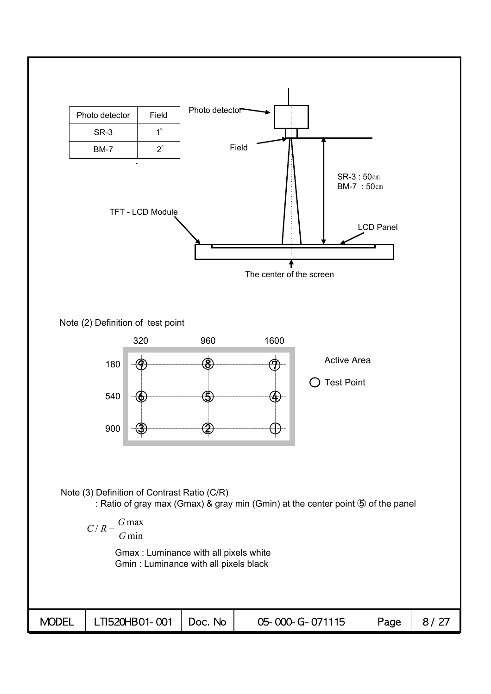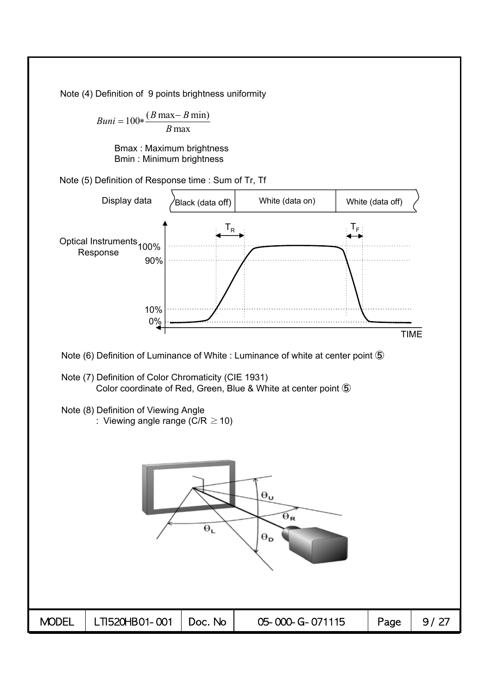Note (4) Definition of 9 points brightness uniformity

 $Buni = 100 * \frac{(B \max - B \min)}{B}$ *B* max

> Bmax : Maximum brightness Bmin : Minimum brightness

Note (5) Definition of Response time : Sum of Tr, Tf

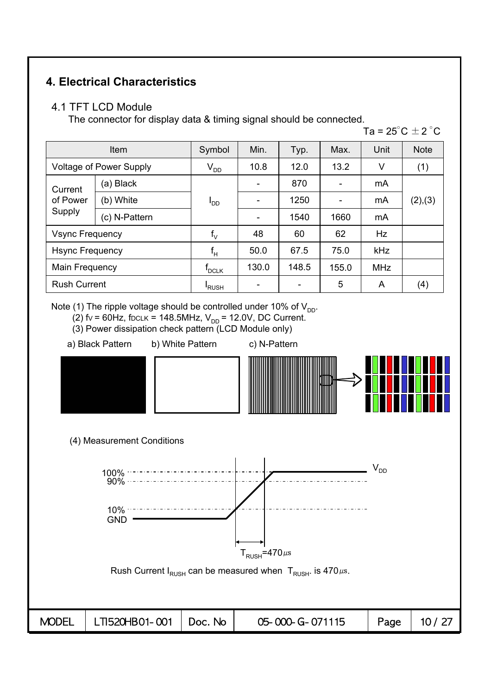## **4. Electrical Characteristics**

#### 4.1 TFT LCD Module

The connector for display data & timing signal should be connected.

Ta =  $25^{\circ}$ C  $\pm$  2  $^{\circ}$ C

|                                | <b>Item</b>            |                 | Min.  | Typ.  | Max.  | Unit       | <b>Note</b> |
|--------------------------------|------------------------|-----------------|-------|-------|-------|------------|-------------|
| <b>Voltage of Power Supply</b> |                        | $V_{DD}$        | 10.8  | 12.0  | 13.2  | V          | (1)         |
| Current                        | (a) Black              |                 |       | 870   |       | mA         |             |
| of Power                       | (b) White              | ים <sup>ו</sup> |       | 1250  |       | mA         | (2),(3)     |
| Supply                         | (c) N-Pattern          |                 |       | 1540  | 1660  | mA         |             |
| <b>Vsync Frequency</b>         |                        | $f_{\vee}$      | 48    | 60    | 62    | Hz         |             |
|                                | <b>Hsync Frequency</b> |                 | 50.0  | 67.5  | 75.0  | kHz        |             |
| Main Frequency                 |                        | $f_{DCLK}$      | 130.0 | 148.5 | 155.0 | <b>MHz</b> |             |
| <b>Rush Current</b>            |                        | <b>RUSH</b>     |       |       | 5     | A          | (4)         |

Note (1) The ripple voltage should be controlled under 10% of  $V_{DD}$ .

- (2)  $fv = 60$ Hz, foclk = 148.5MHz,  $V_{DD} = 12.0$ V, DC Current.
- (3) Power dissipation check pattern (LCD Module only)
- a) Black Pattern b) White Pattern c) N-Pattern
- 



(4) Measurement Conditions

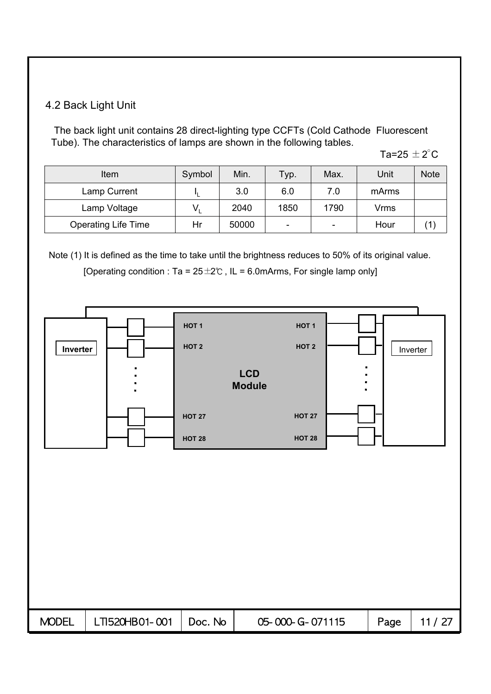#### 4.2 Back Light Unit

The back light unit contains 28 direct-lighting type CCFTs (Cold Cathode Fluorescent Tube). The characteristics of lamps are shown in the following tables.

Ta=25  $\pm$  2 $^{\circ}$ C

| Item                       | Symbol | Min.  | Typ.                     | Max. | Unit  | <b>Note</b> |
|----------------------------|--------|-------|--------------------------|------|-------|-------------|
| Lamp Current               |        | 3.0   | 6.0                      | 7.0  | mArms |             |
| Lamp Voltage               |        | 2040  | 1850                     | 1790 | Vrms  |             |
| <b>Operating Life Time</b> | Hr     | 50000 | $\overline{\phantom{0}}$ | ۰    | Hour  |             |

Note (1) It is defined as the time to take until the brightness reduces to 50% of its original value.

[Operating condition : Ta =  $25 \pm 2$ °C, IL = 6.0mArms, For single lamp only]

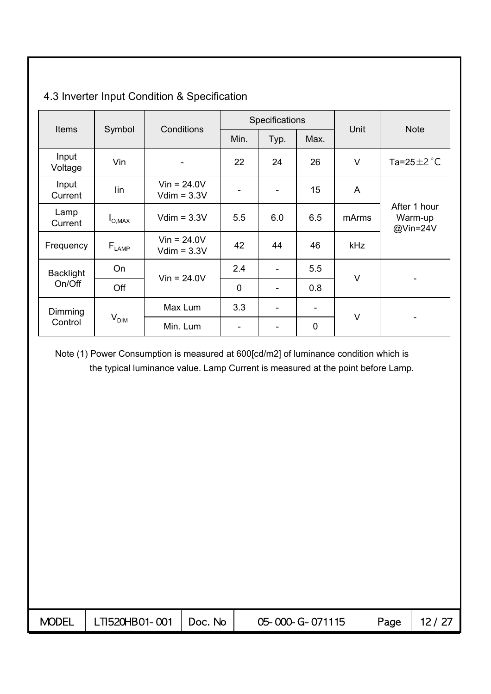|                  |                                   |                                         |                          | Specifications           |      |        |                                     |  |
|------------------|-----------------------------------|-----------------------------------------|--------------------------|--------------------------|------|--------|-------------------------------------|--|
| <b>Items</b>     | Symbol                            | Conditions                              | Min.                     | Typ.                     | Max. | Unit   | <b>Note</b>                         |  |
| Input<br>Voltage | Vin                               | $\overline{a}$                          | 22                       | 24                       | 26   | $\vee$ | Ta=25 $\pm$ 2 $\degree$ C           |  |
| Input<br>Current | lin                               | $V$ in = 24.0V<br>$Vdim = 3.3V$         | $\overline{\phantom{a}}$ | $\overline{\phantom{a}}$ | 15   | A      |                                     |  |
| Lamp<br>Current  | $I_{\text{O,MAX}}$                | $Vdim = 3.3V$                           | 5.5                      | 6.0                      | 6.5  | mArms  | After 1 hour<br>Warm-up<br>@Vin=24V |  |
| Frequency        | $\mathsf{F}_{\text{\tiny{LAMP}}}$ | $V$ in = 24.0V<br>$Vdim = 3.3V$         | 42                       | 44                       | 46   | kHz    |                                     |  |
| <b>Backlight</b> | <b>On</b>                         | $Vin = 24.0V$                           | 2.4                      |                          | 5.5  | $\vee$ |                                     |  |
| On/Off           | Off                               |                                         | $\mathbf 0$              | -                        | 0.8  |        |                                     |  |
| Dimming          |                                   | Max Lum<br>$V_{\text{DIM}}$<br>Min. Lum |                          | $\overline{\phantom{a}}$ | -    | $\vee$ |                                     |  |
| Control          |                                   |                                         |                          |                          | 0    |        | ۰                                   |  |

## 4.3 Inverter Input Condition & Specification

Note (1) Power Consumption is measured at 600[cd/m2] of luminance condition which is the typical luminance value. Lamp Current is measured at the point before Lamp.

| <b>MODEL</b> | LTI520HB01-001 | Doc. No | 05-000-G-071115 | Page | 12/27 |
|--------------|----------------|---------|-----------------|------|-------|
|              |                |         |                 |      |       |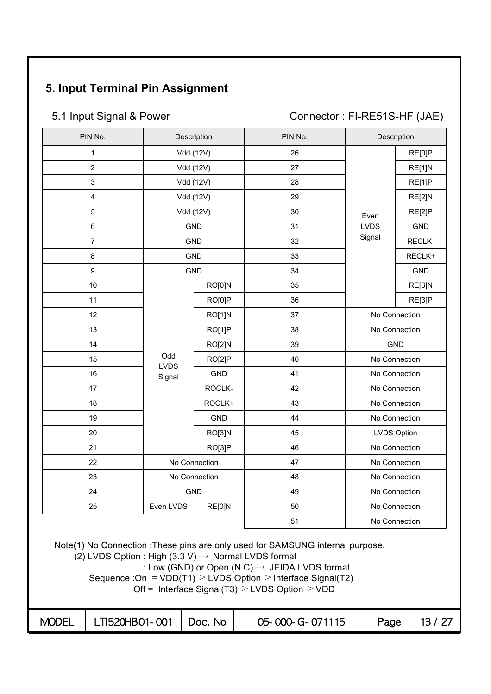## **5. Input Terminal Pin Assignment**

5.1 Input Signal & Power Connector : FI-RE51S-HF (JAE)

| PIN No.                 |                    | Description   | PIN No. |             | Description   |
|-------------------------|--------------------|---------------|---------|-------------|---------------|
| $\mathbf{1}$            |                    | Vdd (12V)     | 26      |             | RE[0]P        |
| $\overline{2}$          |                    | Vdd (12V)     | 27      |             | RE[1]N        |
| $\mathbf{3}$            |                    | Vdd (12V)     | 28      |             | RE[1]P        |
| $\overline{\mathbf{4}}$ |                    | Vdd (12V)     | 29      |             | RE[2]N        |
| $\overline{5}$          |                    | Vdd (12V)     | 30      | Even        | RE[2]P        |
| $\,6$                   |                    | <b>GND</b>    | 31      | <b>LVDS</b> | <b>GND</b>    |
| $\overline{7}$          |                    | <b>GND</b>    | 32      | Signal      | RECLK-        |
| $\bf 8$                 |                    | <b>GND</b>    | 33      |             | RECLK+        |
| 9                       |                    | <b>GND</b>    | 34      |             | <b>GND</b>    |
| 10                      |                    | RO[0]N        | 35      |             | RE[3]N        |
| 11                      |                    | RO[0]P        | 36      |             | RE[3]P        |
| 12                      |                    | RO[1]N        | 37      |             | No Connection |
| 13                      |                    | RO[1]P        | 38      |             | No Connection |
| 14                      |                    | RO[2]N        | 39      |             | <b>GND</b>    |
| 15                      | Odd<br><b>LVDS</b> | RO[2]P        | 40      |             | No Connection |
| 16                      | Signal             | <b>GND</b>    | 41      |             | No Connection |
| 17                      |                    | ROCLK-        | 42      |             | No Connection |
| 18                      |                    | ROCLK+        | 43      |             | No Connection |
| 19                      |                    | <b>GND</b>    | 44      |             | No Connection |
| 20                      |                    | RO[3]N        | 45      |             | LVDS Option   |
| 21                      |                    | RO[3]P        | 46      |             | No Connection |
| 22                      |                    | No Connection | 47      |             | No Connection |
| 23                      |                    | No Connection | 48      |             | No Connection |
| 24                      |                    | <b>GND</b>    | 49      |             | No Connection |
| 25                      | Even LVDS          | RE[0]N        | 50      |             | No Connection |
|                         |                    |               | 51      |             | No Connection |

Note(1) No Connection :These pins are only used for SAMSUNG internal purpose.

 $(2)$  LVDS Option : High  $(3.3 \text{ V}) \rightarrow$  Normal LVDS format

: Low (GND) or Open (N.C)  $\rightarrow$  JEIDA LVDS format

Sequence :On =  $VDD(T1) \geq LVDS$  Option  $\geq$  Interface Signal(T2)

Off = Interface Signal(T3)  $\geq$  LVDS Option  $\geq$  VDD

| <b>MODEL</b> | $\vert$ LTI520HB01-001 $\vert$ Doc. No |  | 05-000-G-071115 | Page |  |
|--------------|----------------------------------------|--|-----------------|------|--|
|--------------|----------------------------------------|--|-----------------|------|--|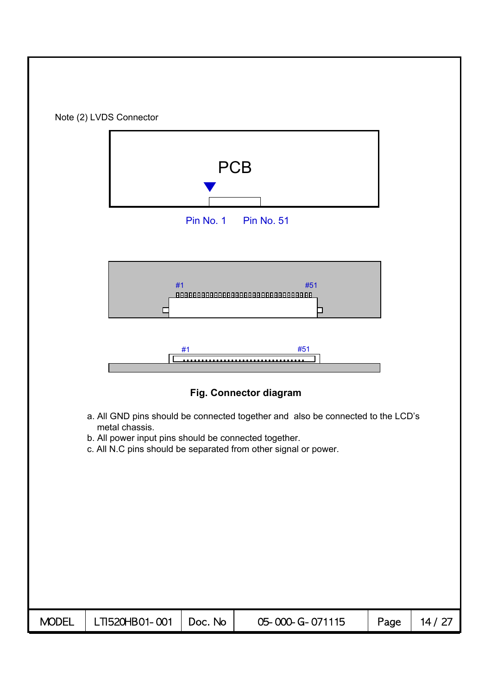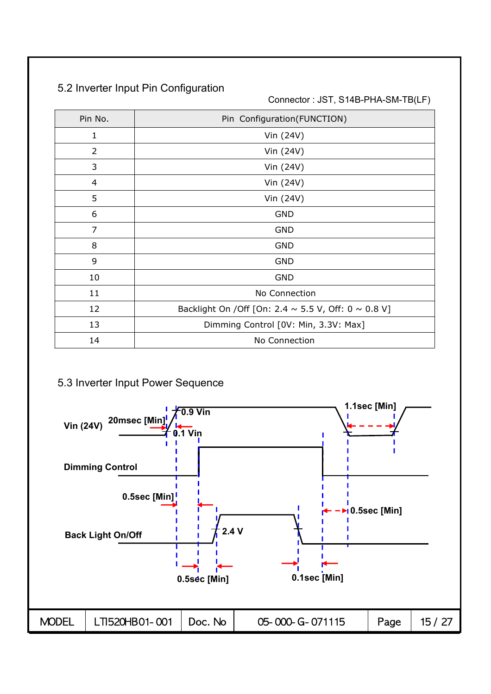## 5.2 Inverter Input Pin Configuration

Connector : JST, S14B-PHA-SM-TB(LF)

| Pin No.        | Pin Configuration(FUNCTION)                                    |
|----------------|----------------------------------------------------------------|
| 1              | Vin (24V)                                                      |
| 2              | Vin (24V)                                                      |
| 3              | Vin (24V)                                                      |
| $\overline{4}$ | Vin (24V)                                                      |
| 5              | Vin (24V)                                                      |
| 6              | <b>GND</b>                                                     |
| 7              | <b>GND</b>                                                     |
| 8              | <b>GND</b>                                                     |
| 9              | <b>GND</b>                                                     |
| 10             | <b>GND</b>                                                     |
| 11             | No Connection                                                  |
| 12             | Backlight On / Off [On: 2.4 $\sim$ 5.5 V, Off: 0 $\sim$ 0.8 V] |
| 13             | Dimming Control [0V: Min, 3.3V: Max]                           |
| 14             | No Connection                                                  |

#### 5.3 Inverter Input Power Sequence

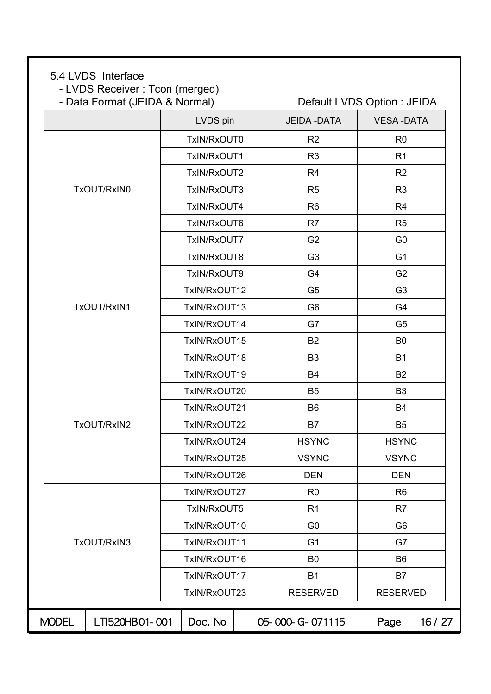#### 5.4 LVDS Interface

- LVDS Receiver : Tcon (merged)<br>- Data Format (JEIDA & Normal)

|  |              | - Data Format (JEIDA & Normal) |              | Default LVDS Option : JEIDA |                  |       |  |
|--|--------------|--------------------------------|--------------|-----------------------------|------------------|-------|--|
|  |              |                                | LVDS pin     | <b>JEIDA - DATA</b>         | <b>VESA-DATA</b> |       |  |
|  |              |                                | TxIN/RxOUT0  | R <sub>2</sub>              | R <sub>0</sub>   |       |  |
|  |              |                                | TxIN/RxOUT1  | R <sub>3</sub>              | R <sub>1</sub>   |       |  |
|  |              |                                | TxIN/RxOUT2  | R <sub>4</sub>              | R <sub>2</sub>   |       |  |
|  |              | TxOUT/RxIN0                    | TxIN/RxOUT3  | R <sub>5</sub>              | R <sub>3</sub>   |       |  |
|  |              |                                | TxIN/RxOUT4  | R <sub>6</sub>              | R <sub>4</sub>   |       |  |
|  |              |                                | TxIN/RxOUT6  | R <sub>7</sub>              | R <sub>5</sub>   |       |  |
|  |              |                                | TxIN/RxOUT7  | G <sub>2</sub>              | G <sub>0</sub>   |       |  |
|  |              |                                | TxIN/RxOUT8  | G <sub>3</sub>              | G <sub>1</sub>   |       |  |
|  |              |                                | TxIN/RxOUT9  | G4                          | G <sub>2</sub>   |       |  |
|  |              |                                | TxIN/RxOUT12 | G <sub>5</sub>              | G <sub>3</sub>   |       |  |
|  |              | TxOUT/RxIN1                    | TxIN/RxOUT13 | G <sub>6</sub>              | G4               |       |  |
|  |              |                                | TxIN/RxOUT14 | G7                          | G <sub>5</sub>   |       |  |
|  |              |                                | TxIN/RxOUT15 | B <sub>2</sub>              | B <sub>0</sub>   |       |  |
|  |              |                                | TxIN/RxOUT18 | B <sub>3</sub>              | <b>B1</b>        |       |  |
|  |              |                                | TxIN/RxOUT19 | <b>B4</b>                   | <b>B2</b>        |       |  |
|  |              |                                | TxIN/RxOUT20 | B <sub>5</sub>              | B <sub>3</sub>   |       |  |
|  |              |                                | TxIN/RxOUT21 | <b>B6</b>                   | <b>B4</b>        |       |  |
|  |              | TxOUT/RxIN2                    | TxIN/RxOUT22 | <b>B7</b>                   | B <sub>5</sub>   |       |  |
|  |              |                                | TxIN/RxOUT24 | <b>HSYNC</b>                | <b>HSYNC</b>     |       |  |
|  |              |                                | TxIN/RxOUT25 | <b>VSYNC</b>                | <b>VSYNC</b>     |       |  |
|  |              |                                | TxIN/RxOUT26 | <b>DEN</b>                  | <b>DEN</b>       |       |  |
|  |              |                                | TxIN/RxOUT27 | R <sub>0</sub>              | R <sub>6</sub>   |       |  |
|  |              |                                | TxIN/RxOUT5  | R <sub>1</sub>              | R7               |       |  |
|  |              |                                | TxIN/RxOUT10 | G <sub>0</sub>              | G <sub>6</sub>   |       |  |
|  |              | TxOUT/RxIN3                    | TxIN/RxOUT11 | G <sub>1</sub>              | G7               |       |  |
|  |              |                                | TxIN/RxOUT16 | B <sub>0</sub>              | B <sub>6</sub>   |       |  |
|  |              |                                | TxIN/RxOUT17 | <b>B1</b>                   | <b>B7</b>        |       |  |
|  |              |                                | TxIN/RxOUT23 | <b>RESERVED</b>             | <b>RESERVED</b>  |       |  |
|  | <b>MODEL</b> | LTI520HB01-001                 | Doc. No      | 05-000-G-071115             | Page             | 16/27 |  |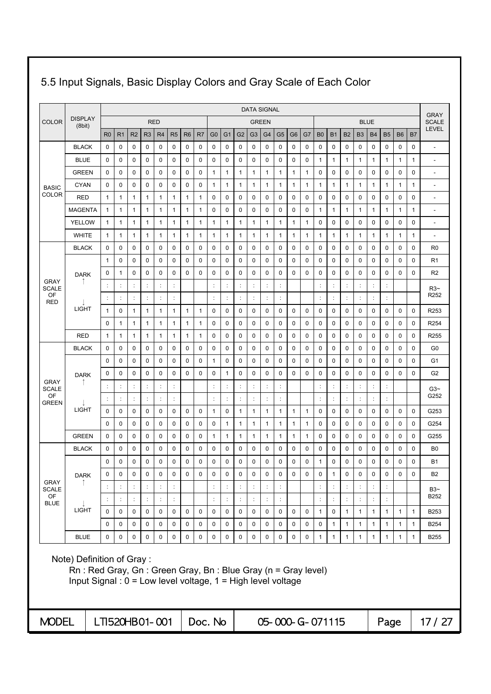|                    |                                                                                                                                                              |                |                      |                      |                      |                      |                      |                          |             |                |                      |                      |                      | <b>DATA SIGNAL</b>   |                |                 |              |                |                      |                |                |                |                      |                              |              | <b>GRAY</b>              |
|--------------------|--------------------------------------------------------------------------------------------------------------------------------------------------------------|----------------|----------------------|----------------------|----------------------|----------------------|----------------------|--------------------------|-------------|----------------|----------------------|----------------------|----------------------|----------------------|----------------|-----------------|--------------|----------------|----------------------|----------------|----------------|----------------|----------------------|------------------------------|--------------|--------------------------|
| <b>COLOR</b>       | <b>DISPLAY</b><br>(8bit)                                                                                                                                     |                |                      |                      |                      | <b>RED</b>           |                      |                          |             |                |                      |                      | <b>GREEN</b>         |                      |                |                 |              |                |                      |                |                | <b>BLUE</b>    |                      |                              |              | <b>SCALE</b>             |
|                    |                                                                                                                                                              | R <sub>0</sub> | R <sub>1</sub>       | R <sub>2</sub>       | R <sub>3</sub>       | R4                   | R <sub>5</sub>       | R <sub>6</sub>           | R7          | G <sub>0</sub> | G <sub>1</sub>       | G <sub>2</sub>       | G3                   | G <sub>4</sub>       | G <sub>5</sub> | G <sub>6</sub>  | G7           | B <sub>0</sub> | <b>B1</b>            | <b>B2</b>      | B <sub>3</sub> | <b>B4</b>      | <b>B5</b>            | B <sub>6</sub>               | B7           | <b>LEVEL</b>             |
|                    | <b>BLACK</b>                                                                                                                                                 | 0              | $\mathbf 0$          | 0                    | 0                    | 0                    | 0                    | 0                        | 0           | 0              | 0                    | 0                    | 0                    | 0                    | $\mathbf 0$    | $\mathbf 0$     | $\mathbf 0$  | 0              | 0                    | $\mathbf 0$    | 0              | 0              | 0                    | 0                            | 0            | $\overline{a}$           |
|                    | <b>BLUE</b>                                                                                                                                                  | 0              | 0                    | 0                    | 0                    | 0                    | 0                    | 0                        | 0           | 0              | 0                    | 0                    | 0                    | 0                    | 0              | 0               | 0            | 1              | $\mathbf{1}$         | 1              | 1              | 1              | 1                    | 1                            | 1            | $\overline{\phantom{a}}$ |
|                    | <b>GREEN</b>                                                                                                                                                 | 0              | $\mathbf 0$          | 0                    | $\mathbf 0$          | 0                    | 0                    | 0                        | 0           | 1              | $\mathbf{1}$         | 1                    | 1                    | 1                    | 1              | 1               | 1            | 0              | 0                    | 0              | 0              | $\mathbf 0$    | 0                    | $\mathbf 0$                  | 0            | $\overline{a}$           |
| <b>BASIC</b>       | <b>CYAN</b>                                                                                                                                                  | 0              | $\mathbf 0$          | 0                    | 0                    | $\mathbf 0$          | 0                    | 0                        | 0           | 1              | 1                    | 1                    | 1                    | 1                    | 1              | 1               | $\mathbf{1}$ | 1              | $\mathbf{1}$         | 1              | 1              | 1              | 1                    | 1                            | 1            | $\overline{a}$           |
| COLOR              | RED                                                                                                                                                          | $\mathbf{1}$   | 1                    | 1                    | $\mathbf{1}$         | 1                    | 1                    | $\mathbf{1}$             | 1           | 0              | $\mathbf 0$          | $\mathbf 0$          | $\mathbf 0$          | $\mathbf 0$          | 0              | $\mathbf 0$     | 0            | 0              | $\mathbf 0$          | $\mathbf 0$    | $\mathbf 0$    | $\mathbf 0$    | $\mathbf 0$          | $\mathbf 0$                  | 0            | $\overline{a}$           |
|                    | <b>MAGENTA</b>                                                                                                                                               | 1              | 1                    | 1                    | 1                    | $\mathbf{1}$         | $\mathbf{1}$         | 1                        | 1           | 0              | 0                    | 0                    | 0                    | 0                    | 0              | $\mathbf 0$     | $\mathbf 0$  | 1              | 1                    | 1              | 1              | 1              | 1                    | $\mathbf{1}$                 | 1            | $\overline{\phantom{a}}$ |
|                    | <b>YELLOW</b>                                                                                                                                                | 1              | 1                    | 1                    | $\mathbf{1}$         | 1                    | 1                    | 1                        | 1           | 1              | $\mathbf{1}$         | 1                    | 1                    | 1                    | 1              | 1               | $\mathbf{1}$ | 0              | 0                    | 0              | 0              | $\mathbf 0$    | 0                    | $\mathbf 0$                  | 0            | $\overline{\phantom{a}}$ |
|                    | <b>WHITE</b>                                                                                                                                                 | 1              | 1                    | 1                    | $\mathbf{1}$         | $\mathbf{1}$         | 1                    | 1                        | 1           | 1              | 1                    | 1                    | 1                    | 1                    | 1              | 1               | $\mathbf{1}$ | 1              | 1                    | 1              | 1              | 1              | 1                    | $\mathbf{1}$                 | 1            | $\overline{\phantom{a}}$ |
|                    | <b>BLACK</b>                                                                                                                                                 | 0              | $\mathbf 0$          | 0                    | $\mathbf 0$          | 0                    | 0                    | 0                        | 0           | 0              | 0                    | 0                    | 0                    | 0                    | $\mathbf 0$    | $\mathbf 0$     | $\mathbf 0$  | 0              | 0                    | $\mathbf 0$    | 0              | $\mathbf 0$    | 0                    | $\mathbf 0$                  | 0            | R <sub>0</sub>           |
|                    |                                                                                                                                                              | 1              | 0                    | 0                    | 0                    | 0                    | 0                    | 0                        | 0           | 0              | 0                    | 0                    | 0                    | 0                    | 0              | 0               | 0            | 0              | 0                    | 0              | 0              | 0              | 0                    | 0                            | 0            | R <sub>1</sub>           |
| <b>GRAY</b>        | <b>DARK</b>                                                                                                                                                  | 0              | $\mathbf{1}$         | 0                    | 0                    | 0                    | 0                    | 0                        | 0           | 0              | 0                    | 0                    | 0                    | 0                    | 0              | $\mathbf 0$     | 0            | 0              | 0                    | $\mathbf 0$    | 0              | $\mathbf 0$    | 0                    | 0                            | 0            | R <sub>2</sub>           |
| <b>SCALE</b>       |                                                                                                                                                              |                | $\ddot{\phantom{a}}$ | d                    | $\ddot{\cdot}$       | $\ddot{\phantom{a}}$ | $\ddot{\cdot}$       |                          |             |                | ÷                    | ċ                    | ÷                    | $\ddot{\cdot}$       | ċ              |                 |              | ċ              | ÷                    | ċ              |                | ÷              | ÷                    |                              |              | $R3-$                    |
| OF<br><b>RED</b>   |                                                                                                                                                              | ÷              | $\ddot{\phantom{a}}$ | $\ddot{\cdot}$       | ÷                    | $\ddot{\cdot}$       | ÷                    |                          |             | ÷              | ÷                    | $\ddot{\phantom{a}}$ | ÷                    | $\ddot{\cdot}$       | $\ddot{\cdot}$ |                 |              | ÷              | ÷                    | ċ              | ÷              | ÷              | ÷                    |                              |              | R <sub>252</sub>         |
|                    | <b>LIGHT</b>                                                                                                                                                 | 1              | 0                    | 1                    | 1                    | 1                    | $\mathbf{1}$         | $\mathbf{1}$             | 1           | 0              | 0                    | 0                    | 0                    | 0                    | 0              | 0               | 0            | 0              | 0                    | 0              | 0              | 0              | 0                    | 0                            | 0            | R253                     |
|                    |                                                                                                                                                              | 0              | 1                    | 1                    | 1                    | 1                    | 1                    | 1                        | 1           | 0              | 0                    | 0                    | 0                    | $\mathbf 0$          | 0              | $\mathbf 0$     | 0            | 0              | 0                    | $\mathbf 0$    | 0              | $\mathbf 0$    | 0                    | 0                            | 0            | R <sub>254</sub>         |
|                    | <b>RED</b>                                                                                                                                                   | 1              | 1                    | 1                    | $\mathbf{1}$         | 1                    | $\mathbf{1}$         | 1                        | 1           | 0              | $\mathbf 0$          | $\mathbf 0$          | $\mathbf 0$          | $\mathbf 0$          | 0              | $\mathbf 0$     | $\mathbf 0$  | 0              | 0                    | 0              | 0              | $\mathbf 0$    | 0                    | $\mathbf 0$                  | 0            | R <sub>255</sub>         |
|                    | <b>BLACK</b>                                                                                                                                                 | 0              | $\mathbf 0$          | 0                    | 0                    | 0                    | 0                    | 0                        | 0           | 0              | 0                    | $\mathbf 0$          | 0                    | 0                    | 0              | $\mathbf 0$     | $\mathbf 0$  | 0              | 0                    | $\mathbf 0$    | 0              | $\mathbf 0$    | 0                    | $\mathbf 0$                  | $\mathbf 0$  | G <sub>0</sub>           |
|                    |                                                                                                                                                              | 0              | 0                    | 0                    | $\mathbf 0$          | 0                    | 0                    | 0                        | 0           | 1              | 0                    | $\mathbf 0$          | 0                    | 0                    | 0              | $\mathbf 0$     | $\mathbf 0$  | 0              | 0                    | 0              | 0              | $\mathbf 0$    | 0                    | $\mathbf 0$                  | 0            | G1                       |
| GRAY               | <b>DARK</b>                                                                                                                                                  | 0              | 0                    | 0                    | 0                    | 0                    | 0                    | 0                        | 0           | 0              | $\mathbf{1}$         | 0                    | 0                    | 0                    | 0              | $\mathbf 0$     | $\mathbf 0$  | 0              | 0                    | 0              | 0              | $\mathbf 0$    | 0                    | 0                            | 0            | G <sub>2</sub>           |
| <b>SCALE</b><br>OF |                                                                                                                                                              |                | $\ddot{\cdot}$       |                      |                      |                      | $\ddot{\phantom{a}}$ |                          |             |                | $\ddot{\phantom{a}}$ |                      |                      | $\ddot{\cdot}$       |                |                 |              |                | $\ddot{\phantom{a}}$ |                |                | $\ddot{\cdot}$ |                      |                              |              | $G3-$<br>G252            |
| <b>GREEN</b>       |                                                                                                                                                              |                | $\ddot{\phantom{a}}$ | $\ddot{\phantom{a}}$ | $\ddot{\phantom{a}}$ | $\ddot{.}$           | ÷                    |                          |             | $\ddot{\cdot}$ | t,                   |                      |                      | $\vdots$             | $\vdots$       |                 |              | $\ddot{\cdot}$ | t,                   | $\vdots$       |                | $\ddot{\cdot}$ | $\ddot{\phantom{a}}$ |                              |              |                          |
|                    | <b>LIGHT</b>                                                                                                                                                 | 0              | 0                    | 0                    | 0                    | 0                    | 0                    | 0                        | 0           | 1              | 0                    | 1                    | 1                    | 1                    | 1              | 1               | $\mathbf{1}$ | 0              | 0                    | 0              | 0              | 0              | 0                    | 0                            | 0            | G253                     |
|                    |                                                                                                                                                              | 0              | $\mathbf 0$          | 0                    | 0                    | 0                    | 0                    | 0                        | 0           | 0              | $\mathbf{1}$         | 1                    | 1                    | 1                    | 1              | 1               | $\mathbf{1}$ | 0              | 0                    | $\mathbf 0$    | 0              | 0              | 0                    | 0                            | 0            | G254                     |
|                    | <b>GREEN</b>                                                                                                                                                 | 0              | 0                    | 0                    | 0                    | 0                    | 0                    | 0                        | 0           | 1              | 1                    | 1                    | 1                    | 1                    | 1              | 1               | $\mathbf{1}$ | 0              | 0                    | 0              | 0              | 0              | 0                    | 0                            | 0            | G255                     |
|                    | <b>BLACK</b>                                                                                                                                                 | 0              | 0                    | 0                    | 0                    | 0                    | 0                    | 0                        | 0           | 0              | 0                    | 0                    | 0                    | 0                    | 0              | 0               | 0            | 0              | 0                    | 0              | 0              | 0              | 0                    | 0                            | 0            | B <sub>0</sub>           |
|                    |                                                                                                                                                              | 0              | 0                    | 0                    | 0                    | 0                    | 0                    | 0                        | $\mathbf 0$ | 0              | $\mathbf 0$          | $\mathbf 0$          | 0                    | $\mathbf 0$          | 0              | $\mathbf 0$     | 0            | 1              | 0                    | 0              | 0              | $\mathbf 0$    | 0                    | 0                            | $\mathbf 0$  | <b>B1</b>                |
| <b>GRAY</b>        | <b>DARK</b>                                                                                                                                                  | 0              | 0                    | $\mathbf 0$          | 0                    | $\mathbf 0$          | $\mathbf 0$          | $\mathbf 0$              | 0           | 0              | $\mathbf 0$          | $\mathbf 0$          | $\mathbf 0$          | $\mathbf 0$          | $\mathbf 0$    | $\mathbf 0$     | $\mathbf 0$  | 0              | $\mathbf{1}$         | $\mathbf 0$    | $\mathbf 0$    | $\mathbf 0$    | $\mathbf 0$          | $\mathbf 0$                  | $\mathbf 0$  | <b>B2</b>                |
| <b>SCALE</b><br>OF |                                                                                                                                                              |                | $\ddot{\phantom{a}}$ |                      |                      | $\ddot{\phantom{a}}$ | t                    |                          |             |                |                      |                      |                      | $\ddot{\phantom{a}}$ |                |                 |              | ÷              |                      |                |                |                |                      |                              |              | $B3-$<br>B252            |
| <b>BLUE</b>        | LIGHT                                                                                                                                                        | ÷<br>0         | $\ddot{\cdot}$       | $\ddot{\cdot}$       | ÷                    | $\ddot{\phantom{a}}$ | ÷                    |                          |             | $\ddot{\cdot}$ | ÷                    |                      | $\ddot{\phantom{a}}$ | $\ddot{\phantom{a}}$ | ÷              |                 |              | ÷              | ÷                    | $\ddot{\cdot}$ | ÷              | $\ddot{\cdot}$ | ÷                    |                              |              |                          |
|                    |                                                                                                                                                              |                | 0<br>$\mathbf 0$     | $\pmb{0}$            | 0<br>$\mathbf 0$     | 0                    | 0                    | $\mathbf 0$<br>$\pmb{0}$ | 0           | 0              | 0                    | $\pmb{0}$            | 0                    | $\pmb{0}$            | $\pmb{0}$      | 0               | 0            | $\mathbf{1}$   | 0<br>$\mathbf{1}$    | $\mathbf{1}$   | $\mathbf{1}$   | $\mathbf{1}$   | $\mathbf{1}$         | $\mathbf{1}$<br>$\mathbf{1}$ | $\mathbf{1}$ | B253                     |
|                    |                                                                                                                                                              | 0              |                      | $\pmb{0}$            |                      | 0                    | $\mathbf 0$          |                          | 0           | 0              | 0                    | $\mathsf 0$          | 0                    | $\pmb{0}$            | $\pmb{0}$      | 0               | 0            | 0              |                      | $\mathbf{1}$   | $\mathbf{1}$   | $\mathbf{1}$   | $\mathbf{1}$         |                              | $\mathbf{1}$ | <b>B254</b>              |
|                    | <b>BLUE</b>                                                                                                                                                  | 0              | 0                    | 0                    | 0                    | $\mathbf 0$          | $\mathsf{O}$         | 0                        | 0           | 0              | 0                    | $\mathbf 0$          | 0                    | $\mathsf 0$          | $\pmb{0}$      | $\mathsf{O}$    | 0            | $\mathbf{1}$   | $\mathbf{1}$         | $\mathbf{1}$   | $\mathbf{1}$   | $\mathbf{1}$   | $\mathbf{1}$         | $\mathbf{1}$                 | $\mathbf{1}$ | <b>B255</b>              |
|                    | Note) Definition of Gray:<br>Rn: Red Gray, Gn: Green Gray, Bn: Blue Gray (n = Gray level)<br>Input Signal: $0 = Low$ level voltage, $1 = High$ level voltage |                |                      |                      |                      |                      |                      |                          |             |                |                      |                      |                      |                      |                |                 |              |                |                      |                |                |                |                      |                              |              |                          |
| <b>MODEL</b>       |                                                                                                                                                              | LTI520HB01-001 |                      |                      |                      |                      |                      |                          | Doc. No     |                |                      |                      |                      |                      |                | 05-000-G-071115 |              |                |                      |                |                |                | Page                 |                              |              | 17/27                    |

# 5.5 Input Signals, Basic Display Colors and Gray Scale of Each Color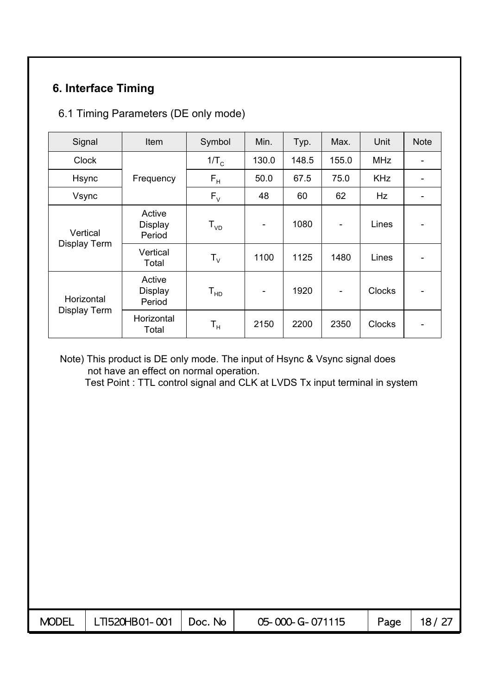## **6. Interface Timing**

#### 6.1 Timing Parameters (DE only mode)

| Signal                   | Item                               | Symbol                  | Min.                     | Typ.  | Max.  | Unit          | <b>Note</b> |
|--------------------------|------------------------------------|-------------------------|--------------------------|-------|-------|---------------|-------------|
| <b>Clock</b>             |                                    | 1/T <sub>c</sub>        | 130.0                    | 148.5 | 155.0 | <b>MHz</b>    |             |
| <b>Hsync</b>             | Frequency                          | $\mathsf{F}_\mathsf{H}$ | 50.0                     | 67.5  | 75.0  | <b>KHz</b>    |             |
| Vsync                    |                                    | $F_{V}$                 | 48                       | 60    | 62    | Hz            |             |
| Vertical<br>Display Term | Active<br><b>Display</b><br>Period | $T_{VD}$                | $\overline{\phantom{a}}$ | 1080  |       | Lines         |             |
|                          | Vertical<br>Total                  | ${\sf T}_{\sf V}$       | 1100                     | 1125  | 1480  | Lines         |             |
| Horizontal               | Active<br><b>Display</b><br>Period | $T_{HD}$                | $\overline{\phantom{a}}$ | 1920  |       | <b>Clocks</b> |             |
| Display Term             | Horizontal<br>Total                | T <sub>н</sub>          | 2150                     | 2200  | 2350  | <b>Clocks</b> |             |

#### Note) This product is DE only mode. The input of Hsync & Vsync signal does not have an effect on normal operation.

Test Point : TTL control signal and CLK at LVDS Tx input terminal in system

| MODEL $\parallel$ LTI520HB01-001 $\parallel$ Doc. No | 05-000-G-071115 | Page   $18/27$ |
|------------------------------------------------------|-----------------|----------------|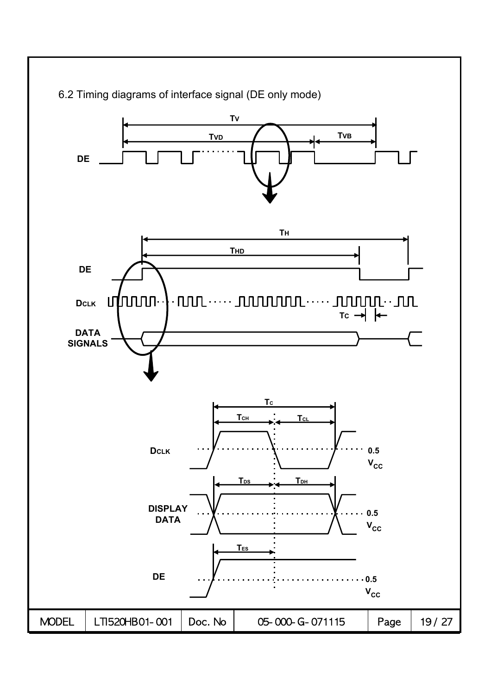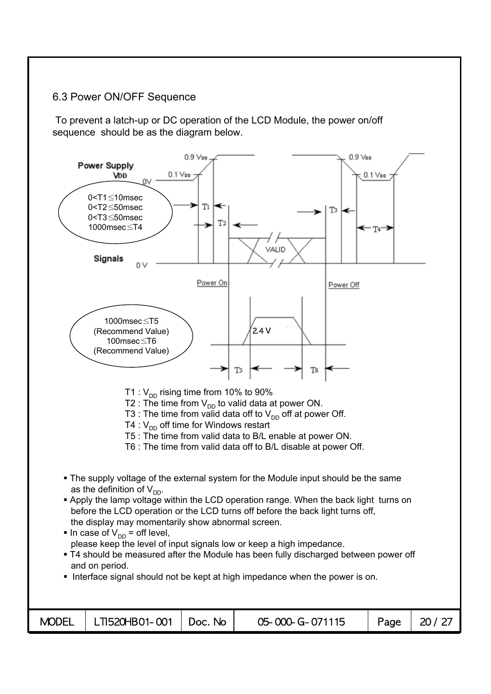#### 6.3 Power ON/OFF Sequence

To prevent a latch-up or DC operation of the LCD Module, the power on/off sequence should be as the diagram below.

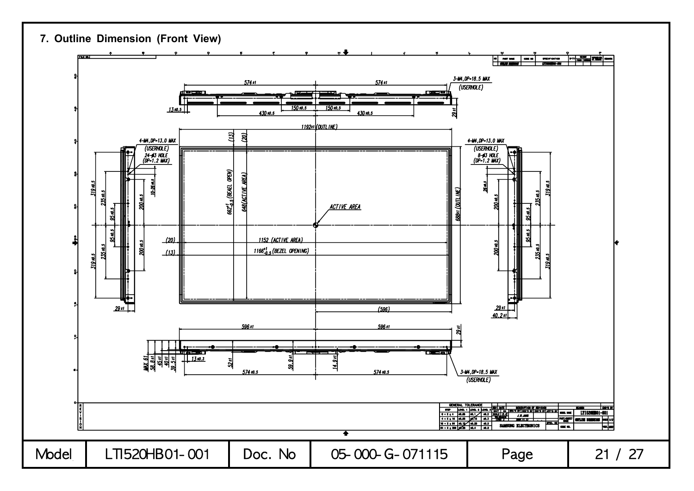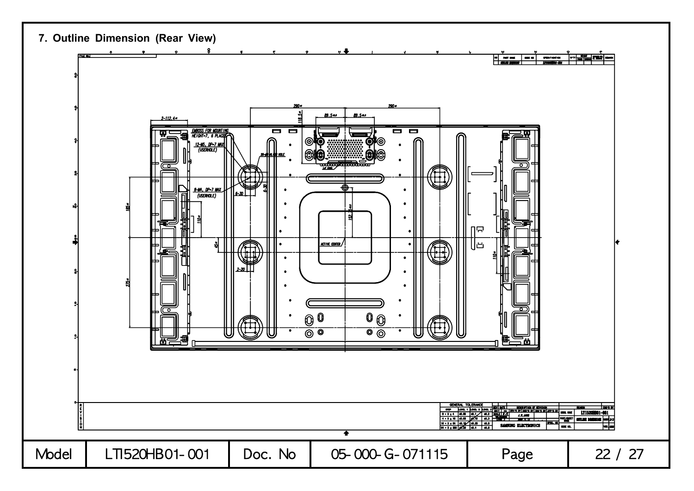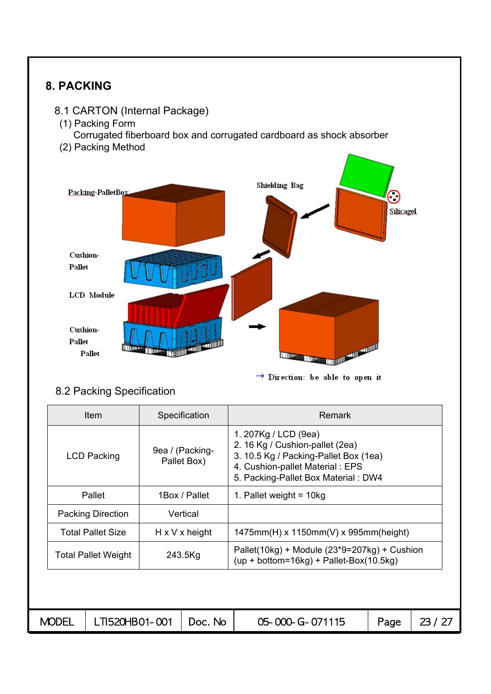

 $\rightarrow$  Direction: be able to open it

#### 8.2 Packing Specification

|              | Item                                  |  | Specification                  | <b>Remark</b>                                                                                                                                                               |      |         |  |  |  |
|--------------|---------------------------------------|--|--------------------------------|-----------------------------------------------------------------------------------------------------------------------------------------------------------------------------|------|---------|--|--|--|
|              | <b>LCD Packing</b>                    |  | 9ea / (Packing-<br>Pallet Box) | 1. 207Kg / LCD (9ea)<br>2. 16 Kg / Cushion-pallet (2ea)<br>3. 10.5 Kg / Packing-Pallet Box (1ea)<br>4. Cushion-pallet Material: EPS<br>5. Packing-Pallet Box Material : DW4 |      |         |  |  |  |
|              | 1Box / Pallet<br>Pallet               |  |                                | 1. Pallet weight = $10kg$                                                                                                                                                   |      |         |  |  |  |
|              | <b>Packing Direction</b><br>Vertical  |  |                                |                                                                                                                                                                             |      |         |  |  |  |
|              | <b>Total Pallet Size</b>              |  | $H \times V \times$ height     | 1475mm(H) x 1150mm(V) x 995mm(height)                                                                                                                                       |      |         |  |  |  |
|              | 243.5Kg<br><b>Total Pallet Weight</b> |  |                                | Pallet(10kg) + Module $(23*9=207kg)$ + Cushion<br>$(up + bottom=16kg) + Pallet-Box(10.5kg))$                                                                                |      |         |  |  |  |
|              |                                       |  |                                |                                                                                                                                                                             |      |         |  |  |  |
| <b>MODEL</b> | LTI520HB01-001                        |  | Doc. No                        | 05-000-G-071115                                                                                                                                                             | Page | 23 / 27 |  |  |  |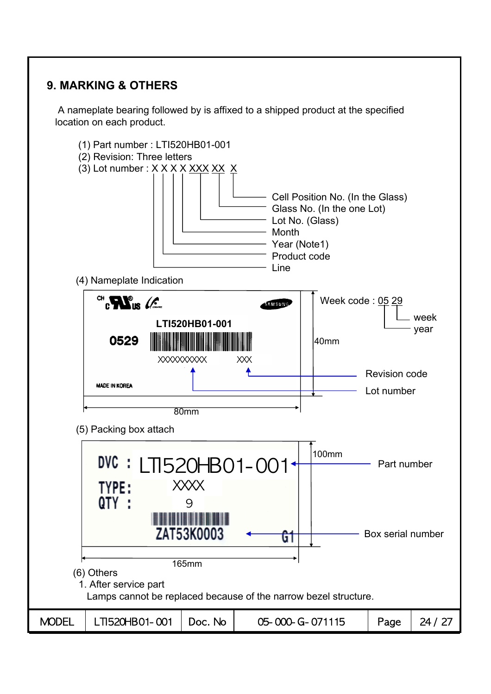## **9. MARKING & OTHERS**

A nameplate bearing followed by is affixed to a shipped product at the specified location on each product.

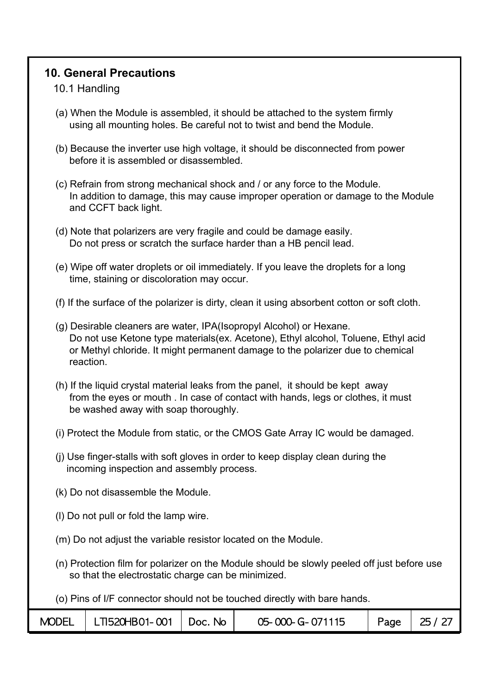### **10. General Precautions**

#### 10.1 Handling

- (a) When the Module is assembled, it should be attached to the system firmly using all mounting holes. Be careful not to twist and bend the Module.
- (b) Because the inverter use high voltage, it should be disconnected from power before it is assembled or disassembled.
- (c) Refrain from strong mechanical shock and / or any force to the Module. In addition to damage, this may cause improper operation or damage to the Module and CCFT back light.
- (d) Note that polarizers are very fragile and could be damage easily. Do not press or scratch the surface harder than a HB pencil lead.
- (e) Wipe off water droplets or oil immediately. If you leave the droplets for a long time, staining or discoloration may occur.
- (f) If the surface of the polarizer is dirty, clean it using absorbent cotton or soft cloth.
- (g) Desirable cleaners are water, IPA(Isopropyl Alcohol) or Hexane. Do not use Ketone type materials(ex. Acetone), Ethyl alcohol, Toluene, Ethyl acid or Methyl chloride. It might permanent damage to the polarizer due to chemical reaction.
- (h) If the liquid crystal material leaks from the panel, it should be kept away from the eyes or mouth . In case of contact with hands, legs or clothes, it must be washed away with soap thoroughly.
- (i) Protect the Module from static, or the CMOS Gate Array IC would be damaged.
- (j) Use finger-stalls with soft gloves in order to keep display clean during the incoming inspection and assembly process.
- (k) Do not disassemble the Module.
- (l) Do not pull or fold the lamp wire.
- (m) Do not adjust the variable resistor located on the Module.
- (n) Protection film for polarizer on the Module should be slowly peeled off just before use so that the electrostatic charge can be minimized.

(o) Pins of I/F connector should not be touched directly with bare hands.

| <b>MODEL</b> | LT1520HB01-001 | $\vert$ Doc. No | 05-000-G-071115 | Page | 25/27 |
|--------------|----------------|-----------------|-----------------|------|-------|
|--------------|----------------|-----------------|-----------------|------|-------|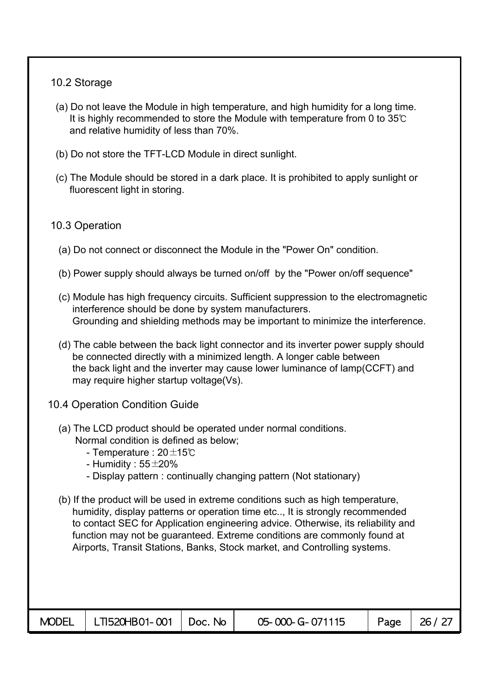#### 10.2 Storage

- (a) Do not leave the Module in high temperature, and high humidity for a long time. It is highly recommended to store the Module with temperature from 0 to 35℃ and relative humidity of less than 70%.
- (b) Do not store the TFT-LCD Module in direct sunlight.
- (c) The Module should be stored in a dark place. It is prohibited to apply sunlight or fluorescent light in storing.

#### 10.3 Operation

- (a) Do not connect or disconnect the Module in the "Power On" condition.
- (b) Power supply should always be turned on/off by the "Power on/off sequence"
- (c) Module has high frequency circuits. Sufficient suppression to the electromagnetic interference should be done by system manufacturers. Grounding and shielding methods may be important to minimize the interference.
- (d) The cable between the back light connector and its inverter power supply should be connected directly with a minimized length. A longer cable between the back light and the inverter may cause lower luminance of lamp(CCFT) and may require higher startup voltage(Vs).
- 10.4 Operation Condition Guide
	- (a) The LCD product should be operated under normal conditions. Normal condition is defined as below;
		- Temperature : 20±15℃
		- Humidity :  $55\pm20\%$
		- Display pattern : continually changing pattern (Not stationary)
	- (b) If the product will be used in extreme conditions such as high temperature, humidity, display patterns or operation time etc.., It is strongly recommended to contact SEC for Application engineering advice. Otherwise, its reliability and function may not be guaranteed. Extreme conditions are commonly found at Airports, Transit Stations, Banks, Stock market, and Controlling systems.

| <b>MODEL</b> |  | 05-000-G-071115 | Page | 26 / 27 |
|--------------|--|-----------------|------|---------|
|              |  |                 |      |         |